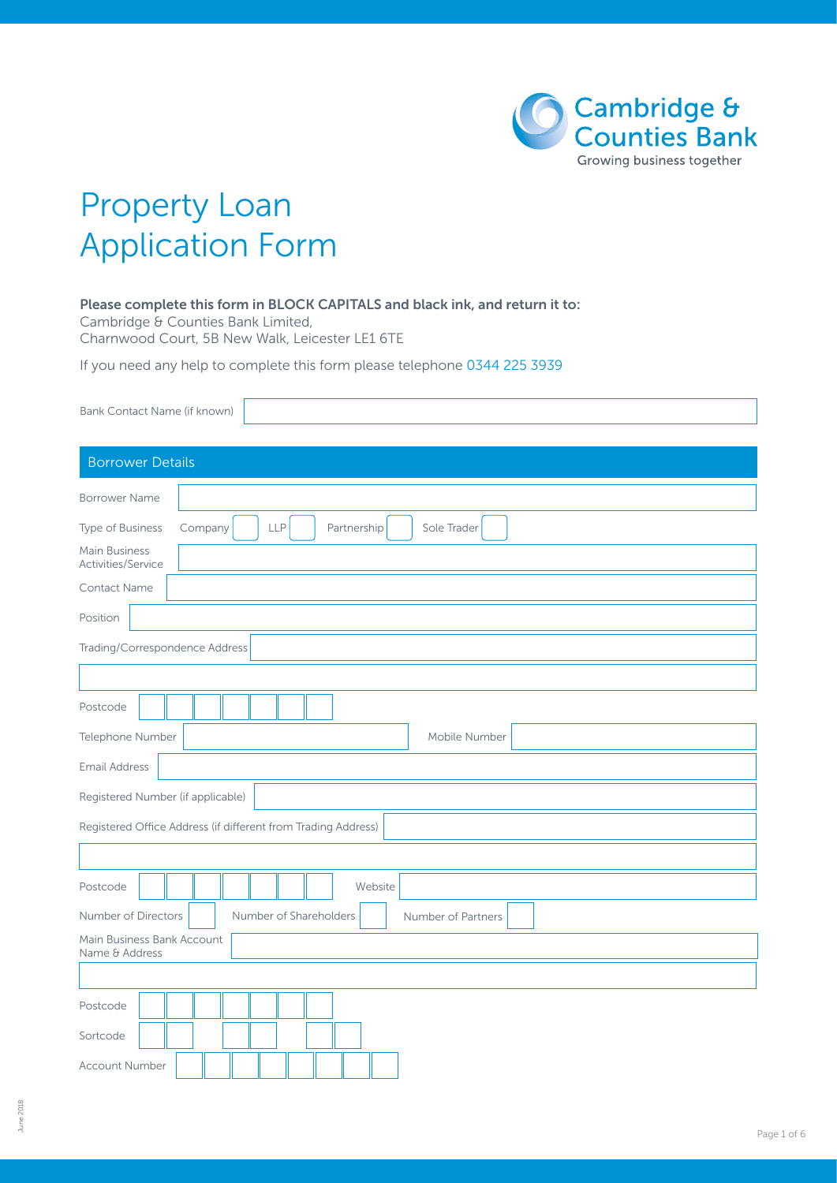

# Property Loan Application Form

#### Please complete this form in BLOCK CAPITALS and black ink, and return it to:

Cambridge & Counties Bank Limited, Charnwood Court, 5B New Walk, Leicester LE1 6TE

If you need any help to complete this form please telephone 0344 225 3939

| Bank Contact Name (if known)                                            |
|-------------------------------------------------------------------------|
| <b>Borrower Details</b>                                                 |
| <b>Borrower Name</b>                                                    |
| Type of Business<br><b>LLP</b><br>Partnership<br>Sole Trader<br>Company |
| Main Business<br>Activities/Service                                     |
| Contact Name                                                            |
| Position                                                                |
| Trading/Correspondence Address                                          |
|                                                                         |
| Postcode                                                                |
| Telephone Number<br>Mobile Number                                       |
| <b>Email Address</b>                                                    |
| Registered Number (if applicable)                                       |
| Registered Office Address (if different from Trading Address)           |
|                                                                         |
| Postcode<br>Website                                                     |
| Number of Directors<br>Number of Shareholders<br>Number of Partners     |
| Main Business Bank Account<br>Name & Address                            |
|                                                                         |
| Postcode                                                                |
| Sortcode                                                                |
| <b>Account Number</b>                                                   |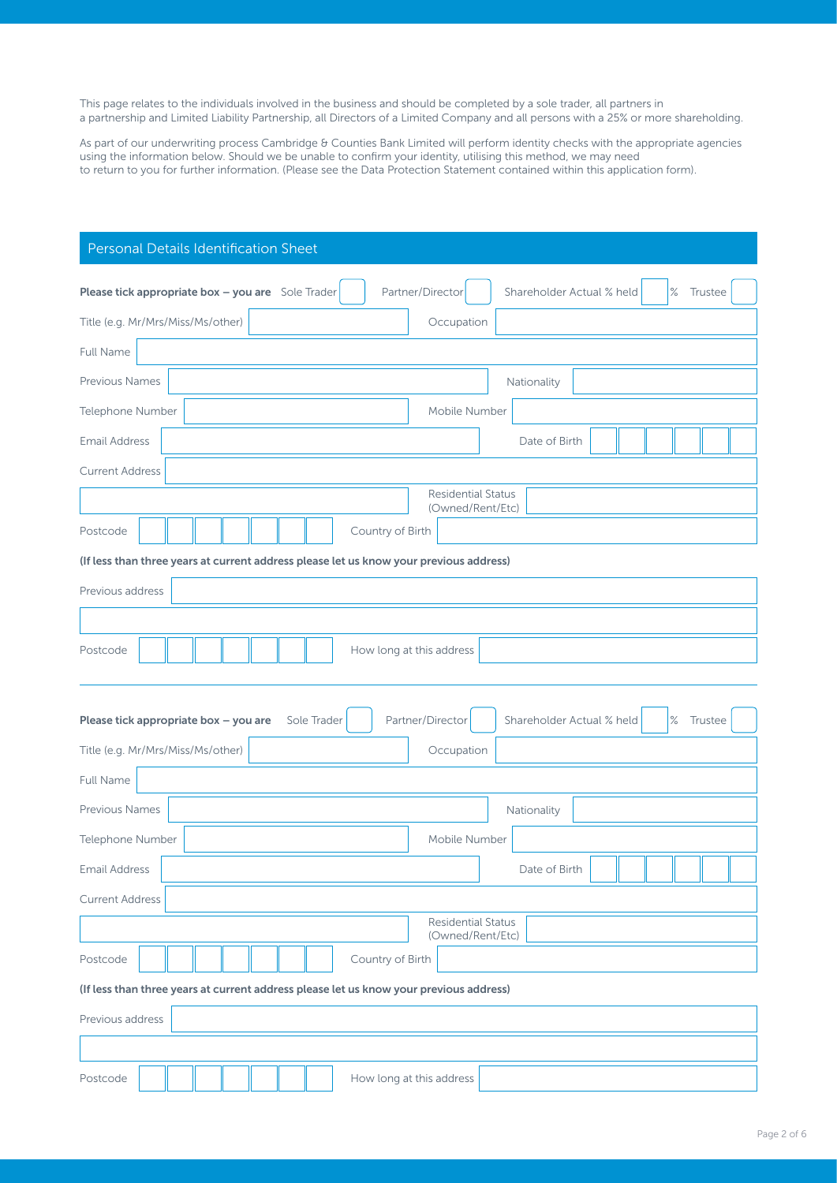This page relates to the individuals involved in the business and should be completed by a sole trader, all partners in a partnership and Limited Liability Partnership, all Directors of a Limited Company and all persons with a 25% or more shareholding.

As part of our underwriting process Cambridge & Counties Bank Limited will perform identity checks with the appropriate agencies using the information below. Should we be unable to confirm your identity, utilising this method, we may need to return to you for further information. (Please see the Data Protection Statement contained within this application form).

| Personal Details Identification Sheet                                                  |                                              |
|----------------------------------------------------------------------------------------|----------------------------------------------|
| Partner/Director<br>Please tick appropriate box - you are Sole Trader                  | $\%$<br>Shareholder Actual % held<br>Trustee |
| Occupation<br>Title (e.g. Mr/Mrs/Miss/Ms/other)                                        |                                              |
| Full Name                                                                              |                                              |
| <b>Previous Names</b>                                                                  | Nationality                                  |
| Telephone Number<br>Mobile Number                                                      |                                              |
|                                                                                        |                                              |
| <b>Email Address</b>                                                                   | Date of Birth                                |
| <b>Current Address</b><br><b>Residential Status</b>                                    |                                              |
| (Owned/Rent/Etc)                                                                       |                                              |
| Country of Birth<br>Postcode                                                           |                                              |
| (If less than three years at current address please let us know your previous address) |                                              |
| Previous address                                                                       |                                              |
|                                                                                        |                                              |
| Postcode<br>How long at this address                                                   |                                              |
|                                                                                        |                                              |
| Partner/Director<br>Please tick appropriate box - you are<br>Sole Trader               | Shareholder Actual % held<br>$\%$<br>Trustee |
| Occupation<br>Title (e.g. Mr/Mrs/Miss/Ms/other)                                        |                                              |
| Full Name                                                                              |                                              |
| Previous Names                                                                         | Nationality                                  |
| Mobile Number<br>Telephone Number                                                      |                                              |
| <b>Email Address</b>                                                                   | Date of Birth                                |
| <b>Current Address</b>                                                                 |                                              |
| <b>Residential Status</b><br>(Owned/Rent/Etc)                                          |                                              |
| Country of Birth<br>Postcode                                                           |                                              |
| (If less than three years at current address please let us know your previous address) |                                              |
| Previous address                                                                       |                                              |
|                                                                                        |                                              |
| Postcode<br>How long at this address                                                   |                                              |
|                                                                                        |                                              |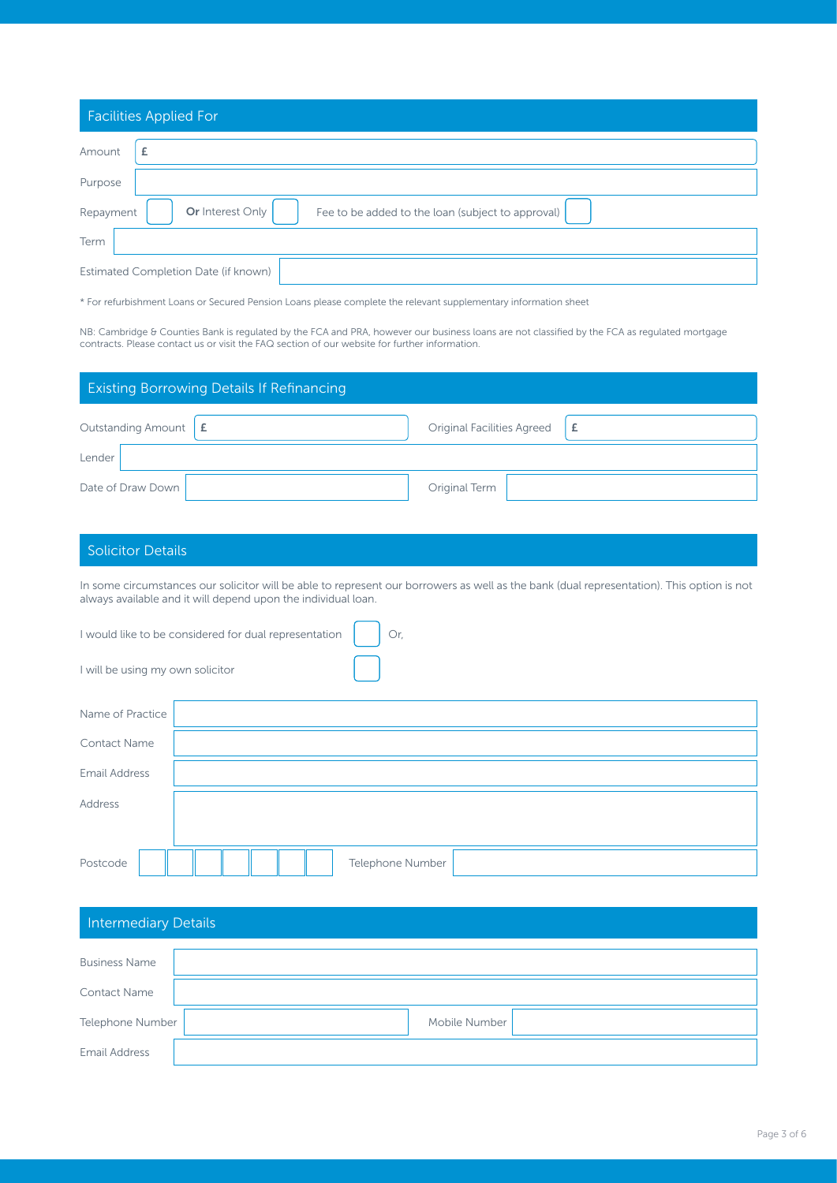|           | <b>Facilities Applied For</b>                                         |
|-----------|-----------------------------------------------------------------------|
| Amount    | Ł                                                                     |
| Purpose   |                                                                       |
| Repayment | Or Interest Only<br>Fee to be added to the loan (subject to approval) |
| Term      |                                                                       |
|           | Estimated Completion Date (if known)                                  |

\* For refurbishment Loans or Secured Pension Loans please complete the relevant supplementary information sheet

NB: Cambridge & Counties Bank is regulated by the FCA and PRA, however our business loans are not classified by the FCA as regulated mortgage contracts. Please contact us or visit the FAQ section of our website for further information.

|                                 | <b>Existing Borrowing Details If Refinancing</b> |                                   |   |
|---------------------------------|--------------------------------------------------|-----------------------------------|---|
| Outstanding Amount $\mathbf{f}$ |                                                  | <b>Original Facilities Agreed</b> | £ |
| Lender                          |                                                  |                                   |   |
| Date of Draw Down               |                                                  | Original Term                     |   |

### Solicitor Details

In some circumstances our solicitor will be able to represent our borrowers as well as the bank (dual representation). This option is not always available and it will depend upon the individual loan.

|                                  | I would like to be considered for dual representation<br>Or, |
|----------------------------------|--------------------------------------------------------------|
| I will be using my own solicitor |                                                              |
| Name of Practice                 |                                                              |
| <b>Contact Name</b>              |                                                              |
| <b>Email Address</b>             |                                                              |
| Address                          |                                                              |
|                                  |                                                              |
| Postcode                         | Telephone Number                                             |

| <b>Intermediary Details</b> |               |
|-----------------------------|---------------|
| <b>Business Name</b>        |               |
| <b>Contact Name</b>         |               |
| Telephone Number            | Mobile Number |
| <b>Email Address</b>        |               |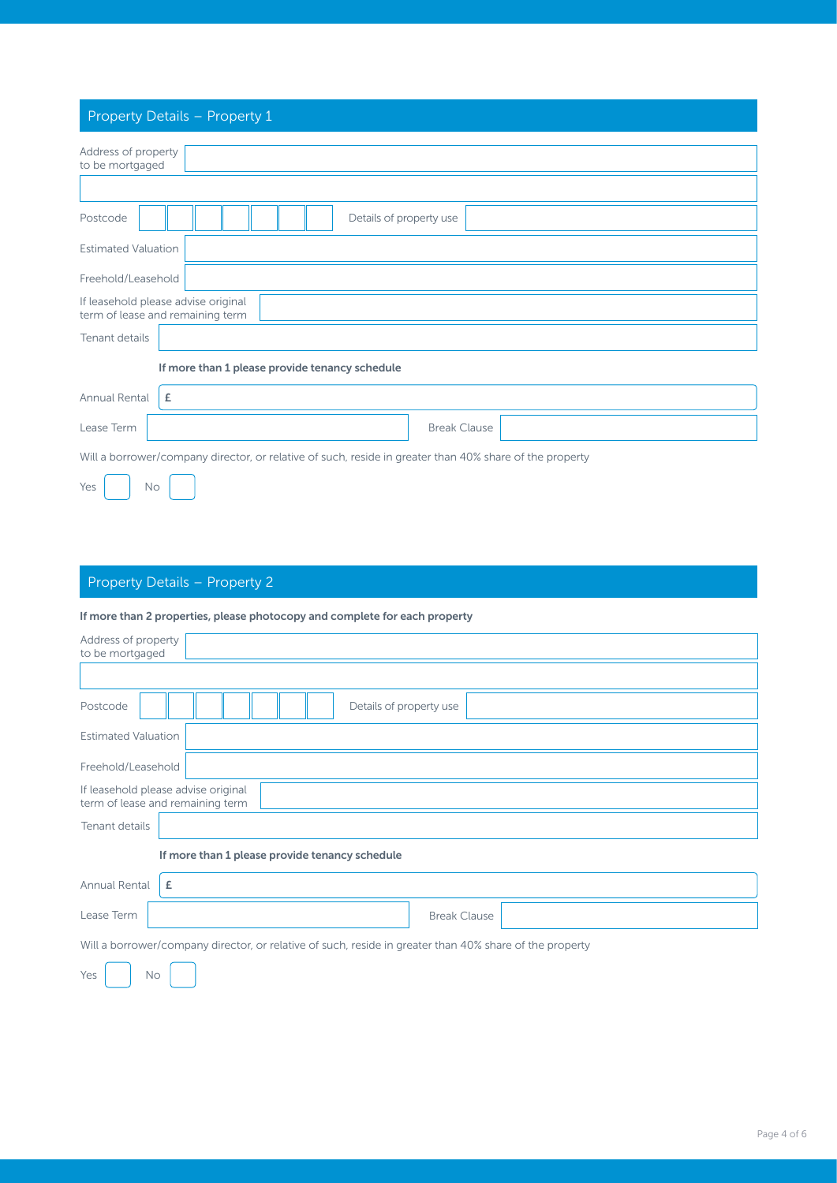## Property Details – Property 1

| Address of property<br>to be mortgaged                                                                  |
|---------------------------------------------------------------------------------------------------------|
|                                                                                                         |
| Details of property use<br>Postcode                                                                     |
| <b>Estimated Valuation</b>                                                                              |
| Freehold/Leasehold                                                                                      |
| If leasehold please advise original<br>term of lease and remaining term                                 |
| Tenant details                                                                                          |
| If more than 1 please provide tenancy schedule                                                          |
| £<br>Annual Rental                                                                                      |
| Lease Term<br><b>Break Clause</b>                                                                       |
| Will a borrower/company director, or relative of such, reside in greater than 40% share of the property |
| Yes<br><b>No</b>                                                                                        |

## Property Details – Property 2

#### If more than 2 properties, please photocopy and complete for each property

| Address of property<br>to be mortgaged                                                                  |  |  |  |  |  |  |  |  |  |
|---------------------------------------------------------------------------------------------------------|--|--|--|--|--|--|--|--|--|
|                                                                                                         |  |  |  |  |  |  |  |  |  |
| Details of property use<br>Postcode                                                                     |  |  |  |  |  |  |  |  |  |
| <b>Estimated Valuation</b>                                                                              |  |  |  |  |  |  |  |  |  |
| Freehold/Leasehold                                                                                      |  |  |  |  |  |  |  |  |  |
| If leasehold please advise original<br>term of lease and remaining term                                 |  |  |  |  |  |  |  |  |  |
| Tenant details                                                                                          |  |  |  |  |  |  |  |  |  |
| If more than 1 please provide tenancy schedule                                                          |  |  |  |  |  |  |  |  |  |
| Annual Rental<br>£                                                                                      |  |  |  |  |  |  |  |  |  |
| Lease Term<br><b>Break Clause</b>                                                                       |  |  |  |  |  |  |  |  |  |
| Will a borrower/company director, or relative of such, reside in greater than 40% share of the property |  |  |  |  |  |  |  |  |  |
| Yes<br><b>No</b>                                                                                        |  |  |  |  |  |  |  |  |  |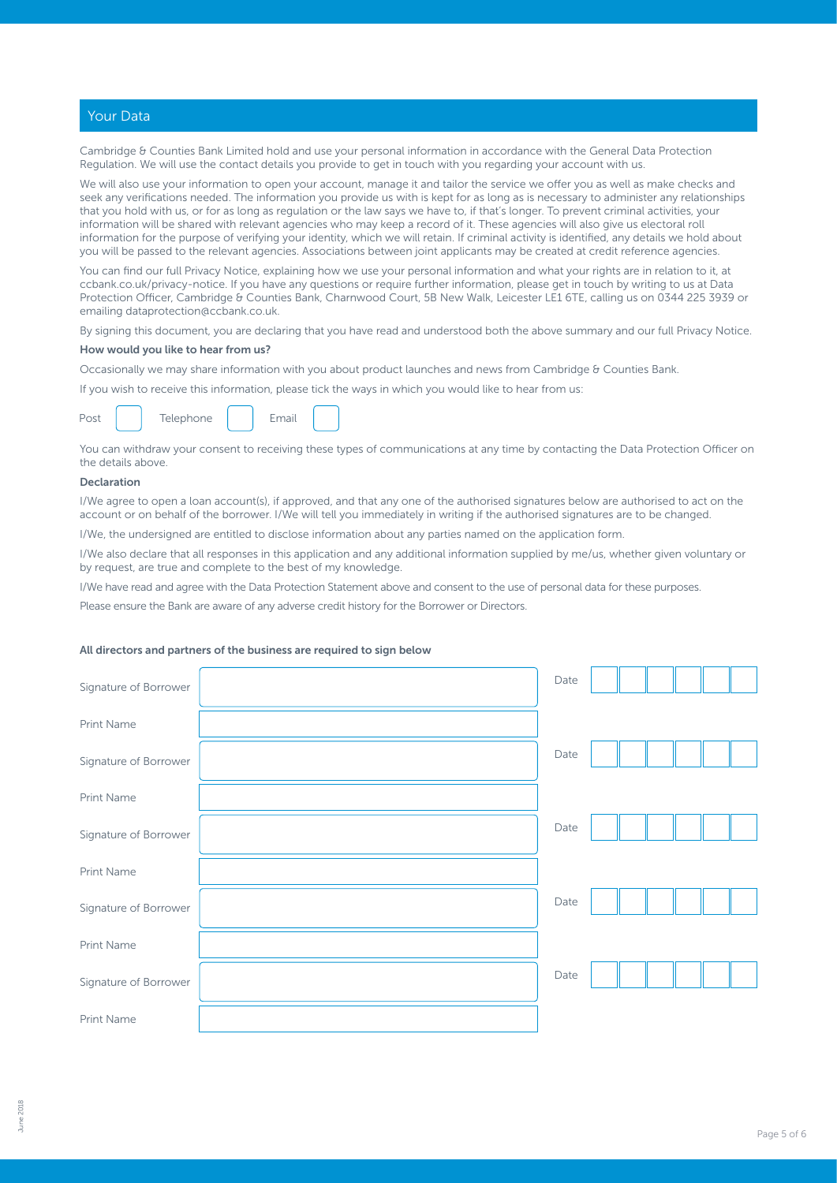#### Your Data

Cambridge & Counties Bank Limited hold and use your personal information in accordance with the General Data Protection Regulation. We will use the contact details you provide to get in touch with you regarding your account with us.

We will also use your information to open your account, manage it and tailor the service we offer you as well as make checks and seek any verifications needed. The information you provide us with is kept for as long as is necessary to administer any relationships that you hold with us, or for as long as regulation or the law says we have to, if that's longer. To prevent criminal activities, your information will be shared with relevant agencies who may keep a record of it. These agencies will also give us electoral roll information for the purpose of verifying your identity, which we will retain. If criminal activity is identified, any details we hold about you will be passed to the relevant agencies. Associations between joint applicants may be created at credit reference agencies.

You can find our full Privacy Notice, explaining how we use your personal information and what your rights are in relation to it, at ccbank.co.uk/privacy-notice. If you have any questions or require further information, please get in touch by writing to us at Data Protection Officer, Cambridge & Counties Bank, Charnwood Court, 5B New Walk, Leicester LE1 6TE, calling us on 0344 225 3939 or emailing [dataprotection@ccbank.co.uk](mailto:dataprotection%40ccbank.co.uk?subject=).

By signing this document, you are declaring that you have read and understood both the above summary and our full Privacy Notice.

#### How would you like to hear from us?

Occasionally we may share information with you about product launches and news from Cambridge & Counties Bank.

If you wish to receive this information, please tick the ways in which you would like to hear from us:

|  |  | Telephone |  | Email |  |
|--|--|-----------|--|-------|--|
|--|--|-----------|--|-------|--|

You can withdraw your consent to receiving these types of communications at any time by contacting the Data Protection Officer on the details above.

#### Declaration

I/We agree to open a loan account(s), if approved, and that any one of the authorised signatures below are authorised to act on the account or on behalf of the borrower. I/We will tell you immediately in writing if the authorised signatures are to be changed.

I/We, the undersigned are entitled to disclose information about any parties named on the application form.

I/We also declare that all responses in this application and any additional information supplied by me/us, whether given voluntary or by request, are true and complete to the best of my knowledge.

I/We have read and agree with the Data Protection Statement above and consent to the use of personal data for these purposes.

Please ensure the Bank are aware of any adverse credit history for the Borrower or Directors.

#### All directors and partners of the business are required to sign below

| Signature of Borrower | Date |  |  |  |
|-----------------------|------|--|--|--|
| Print Name            |      |  |  |  |
| Signature of Borrower | Date |  |  |  |
| Print Name            |      |  |  |  |
| Signature of Borrower | Date |  |  |  |
| Print Name            |      |  |  |  |
| Signature of Borrower | Date |  |  |  |
| Print Name            |      |  |  |  |
| Signature of Borrower | Date |  |  |  |
| Print Name            |      |  |  |  |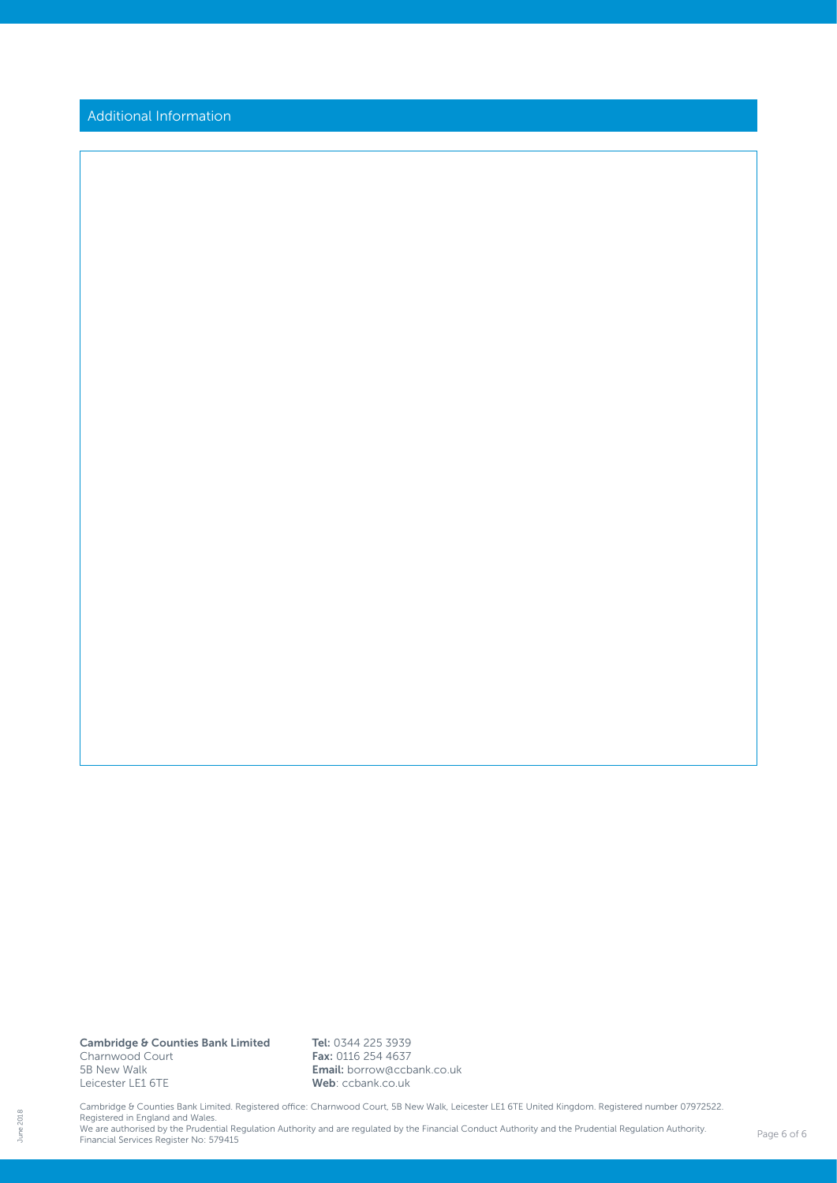Additional Information

Cambridge & Counties Bank Limited Charnwood Court 5B New Walk Leicester LE1 6TE

Tel: 0344 225 3939 Fax: 0116 254 4637 Email: borrow@ccbank.co.uk Web: ccbank.co.uk

Cambridge & Counties Bank Limited. Registered office: Charnwood Court, 5B New Walk, Leicester LE1 6TE United Kingdom. Registered number 07972522.<br>Registered in England and Wales.<br>We are authorised by the Prudential Regulat